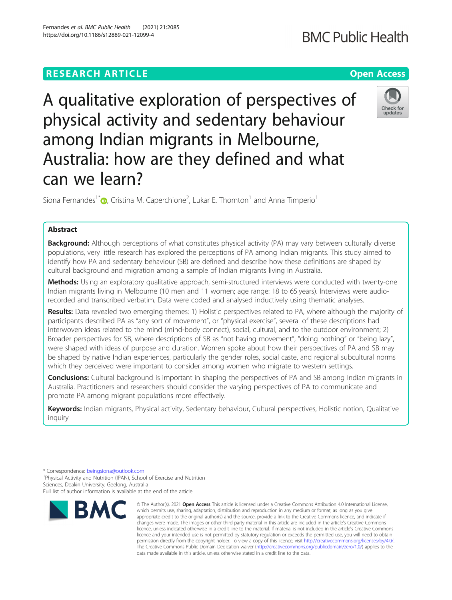# **RESEARCH ARTICLE Example 2014 12:30 The Contract of Contract ACCESS**

A qualitative exploration of perspectives of physical activity and sedentary behaviour among Indian migrants in Melbourne, Australia: how are they defined and what can we learn?

Siona Fernandes<sup>1[\\*](http://orcid.org/0000-0002-2452-0460)</sup> $\bm{\odot}$ , Cristina M. Caperchione<sup>2</sup>, Lukar E. Thornton<sup>1</sup> and Anna Timperio<sup>1</sup>

# Abstract

Background: Although perceptions of what constitutes physical activity (PA) may vary between culturally diverse populations, very little research has explored the perceptions of PA among Indian migrants. This study aimed to identify how PA and sedentary behaviour (SB) are defined and describe how these definitions are shaped by cultural background and migration among a sample of Indian migrants living in Australia.

Methods: Using an exploratory qualitative approach, semi-structured interviews were conducted with twenty-one Indian migrants living in Melbourne (10 men and 11 women; age range: 18 to 65 years). Interviews were audiorecorded and transcribed verbatim. Data were coded and analysed inductively using thematic analyses.

Results: Data revealed two emerging themes: 1) Holistic perspectives related to PA, where although the majority of participants described PA as "any sort of movement", or "physical exercise", several of these descriptions had interwoven ideas related to the mind (mind-body connect), social, cultural, and to the outdoor environment; 2) Broader perspectives for SB, where descriptions of SB as "not having movement", "doing nothing" or "being lazy", were shaped with ideas of purpose and duration. Women spoke about how their perspectives of PA and SB may be shaped by native Indian experiences, particularly the gender roles, social caste, and regional subcultural norms which they perceived were important to consider among women who migrate to western settings.

**Conclusions:** Cultural background is important in shaping the perspectives of PA and SB among Indian migrants in Australia. Practitioners and researchers should consider the varying perspectives of PA to communicate and promote PA among migrant populations more effectively.

Keywords: Indian migrants, Physical activity, Sedentary behaviour, Cultural perspectives, Holistic notion, Qualitative inquiry



<sup>\*</sup> Correspondence: [beingsiona@outlook.com](mailto:beingsiona@outlook.com) <sup>1</sup>

<sup>&</sup>lt;sup>1</sup>Physical Activity and Nutrition (IPAN), School of Exercise and Nutrition Sciences, Deakin University, Geelong, Australia

Full list of author information is available at the end of the article

<sup>©</sup> The Author(s), 2021 **Open Access** This article is licensed under a Creative Commons Attribution 4.0 International License, which permits use, sharing, adaptation, distribution and reproduction in any medium or format, as long as you give appropriate credit to the original author(s) and the source, provide a link to the Creative Commons licence, and indicate if changes were made. The images or other third party material in this article are included in the article's Creative Commons licence, unless indicated otherwise in a credit line to the material. If material is not included in the article's Creative Commons licence and your intended use is not permitted by statutory regulation or exceeds the permitted use, you will need to obtain permission directly from the copyright holder. To view a copy of this licence, visit [http://creativecommons.org/licenses/by/4.0/.](http://creativecommons.org/licenses/by/4.0/) The Creative Commons Public Domain Dedication waiver [\(http://creativecommons.org/publicdomain/zero/1.0/](http://creativecommons.org/publicdomain/zero/1.0/)) applies to the data made available in this article, unless otherwise stated in a credit line to the data.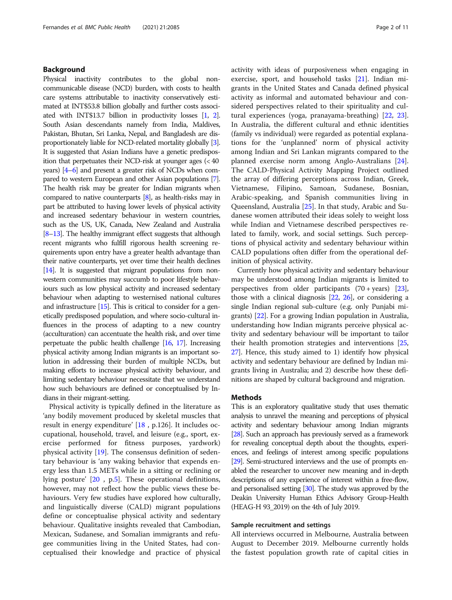# Background

Physical inactivity contributes to the global noncommunicable disease (NCD) burden, with costs to health care systems attributable to inactivity conservatively estimated at INT\$53.8 billion globally and further costs associated with INT\$13.7 billion in productivity losses [[1](#page-8-0), [2\]](#page-8-0). South Asian descendants namely from India, Maldives, Pakistan, Bhutan, Sri Lanka, Nepal, and Bangladesh are disproportionately liable for NCD-related mortality globally [\[3\]](#page-8-0). It is suggested that Asian Indians have a genetic predisposition that perpetuates their NCD-risk at younger ages (< 40 years) [\[4](#page-8-0)–[6\]](#page-8-0) and present a greater risk of NCDs when compared to western European and other Asian populations [\[7](#page-8-0)]. The health risk may be greater for Indian migrants when compared to native counterparts [\[8\]](#page-8-0), as health-risks may in part be attributed to having lower levels of physical activity and increased sedentary behaviour in western countries, such as the US, UK, Canada, New Zealand and Australia [[8](#page-8-0)–[13](#page-8-0)]. The healthy immigrant effect suggests that although recent migrants who fulfill rigorous health screening requirements upon entry have a greater health advantage than their native counterparts, yet over time their health declines [[14\]](#page-8-0). It is suggested that migrant populations from nonwestern communities may succumb to poor lifestyle behaviours such as low physical activity and increased sedentary behaviour when adapting to westernised national cultures and infrastructure [\[15](#page-8-0)]. This is critical to consider for a genetically predisposed population, and where socio-cultural influences in the process of adapting to a new country (acculturation) can accentuate the health risk, and over time perpetuate the public health challenge [\[16](#page-8-0), [17\]](#page-8-0). Increasing physical activity among Indian migrants is an important solution in addressing their burden of multiple NCDs, but making efforts to increase physical activity behaviour, and limiting sedentary behaviour necessitate that we understand how such behaviours are defined or conceptualised by Indians in their migrant-setting.

Physical activity is typically defined in the literature as 'any bodily movement produced by skeletal muscles that result in energy expenditure' [\[18](#page-9-0) , p.126]. It includes occupational, household, travel, and leisure (e.g., sport, exercise performed for fitness purposes, yardwork) physical activity [[19\]](#page-9-0). The consensus definition of sedentary behaviour is 'any waking behavior that expends energy less than 1.5 METs while in a sitting or reclining or lying posture' [[20](#page-9-0) , p[.5](#page-8-0)]. These operational definitions, however, may not reflect how the public views these behaviours. Very few studies have explored how culturally, and linguistically diverse (CALD) migrant populations define or conceptualise physical activity and sedentary behaviour. Qualitative insights revealed that Cambodian, Mexican, Sudanese, and Somalian immigrants and refugee communities living in the United States, had conceptualised their knowledge and practice of physical activity with ideas of purposiveness when engaging in exercise, sport, and household tasks [\[21](#page-9-0)]. Indian migrants in the United States and Canada defined physical activity as informal and automated behaviour and considered perspectives related to their spirituality and cultural experiences (yoga, pranayama-breathing) [[22,](#page-9-0) [23](#page-9-0)]. In Australia, the different cultural and ethnic identities (family vs individual) were regarded as potential explanations for the 'unplanned' norm of physical activity among Indian and Sri Lankan migrants compared to the planned exercise norm among Anglo-Australians [\[24](#page-9-0)]. The CALD-Physical Activity Mapping Project outlined the array of differing perceptions across Indian, Greek, Vietnamese, Filipino, Samoan, Sudanese, Bosnian, Arabic-speaking, and Spanish communities living in Queensland, Australia [\[25](#page-9-0)]. In that study, Arabic and Sudanese women attributed their ideas solely to weight loss while Indian and Vietnamese described perspectives related to family, work, and social settings. Such perceptions of physical activity and sedentary behaviour within CALD populations often differ from the operational definition of physical activity.

Currently how physical activity and sedentary behaviour may be understood among Indian migrants is limited to perspectives from older participants (70 + years) [[23](#page-9-0)], those with a clinical diagnosis [\[22](#page-9-0), [26\]](#page-9-0), or considering a single Indian regional sub-culture (e.g. only Punjabi migrants) [\[22](#page-9-0)]. For a growing Indian population in Australia, understanding how Indian migrants perceive physical activity and sedentary behaviour will be important to tailor their health promotion strategies and interventions [[25](#page-9-0), [27](#page-9-0)]. Hence, this study aimed to 1) identify how physical activity and sedentary behaviour are defined by Indian migrants living in Australia; and 2) describe how these definitions are shaped by cultural background and migration.

### Methods

This is an exploratory qualitative study that uses thematic analysis to unravel the meaning and perceptions of physical activity and sedentary behaviour among Indian migrants [[28\]](#page-9-0). Such an approach has previously served as a framework for revealing conceptual depth about the thoughts, experiences, and feelings of interest among specific populations [[29\]](#page-9-0). Semi-structured interviews and the use of prompts enabled the researcher to uncover new meaning and in-depth descriptions of any experience of interest within a free-flow, and personalised setting [\[30](#page-9-0)]. The study was approved by the Deakin University Human Ethics Advisory Group-Health (HEAG-H 93\_2019) on the 4th of July 2019.

# Sample recruitment and settings

All interviews occurred in Melbourne, Australia between August to December 2019. Melbourne currently holds the fastest population growth rate of capital cities in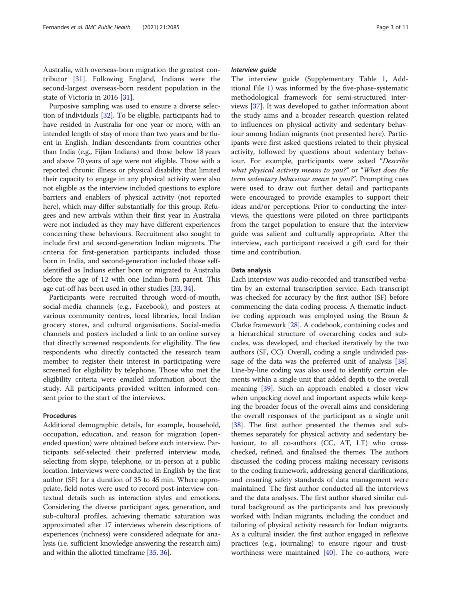Australia, with overseas-born migration the greatest contributor [\[31](#page-9-0)]. Following England, Indians were the second-largest overseas-born resident population in the state of Victoria in 2016 [[31](#page-9-0)].

Purposive sampling was used to ensure a diverse selection of individuals [\[32\]](#page-9-0). To be eligible, participants had to have resided in Australia for one year or more, with an intended length of stay of more than two years and be fluent in English. Indian descendants from countries other than India (e.g., Fijian Indians) and those below 18 years and above 70 years of age were not eligible. Those with a reported chronic illness or physical disability that limited their capacity to engage in any physical activity were also not eligible as the interview included questions to explore barriers and enablers of physical activity (not reported here), which may differ substantially for this group. Refugees and new arrivals within their first year in Australia were not included as they may have different experiences concerning these behaviours. Recruitment also sought to include first and second-generation Indian migrants. The criteria for first-generation participants included those born in India, and second-generation included those selfidentified as Indians either born or migrated to Australia before the age of 12 with one Indian-born parent. This age cut-off has been used in other studies [\[33,](#page-9-0) [34](#page-9-0)].

Participants were recruited through word-of-mouth, social-media channels (e.g., Facebook), and posters at various community centres, local libraries, local Indian grocery stores, and cultural organisations. Social-media channels and posters included a link to an online survey that directly screened respondents for eligibility. The few respondents who directly contacted the research team member to register their interest in participating were screened for eligibility by telephone. Those who met the eligibility criteria were emailed information about the study. All participants provided written informed consent prior to the start of the interviews.

#### Procedures

Additional demographic details, for example, household, occupation, education, and reason for migration (openended question) were obtained before each interview. Participants self-selected their preferred interview mode, selecting from skype, telephone, or in-person at a public location. Interviews were conducted in English by the first author (SF) for a duration of 35 to 45 min. Where appropriate, field notes were used to record post-interview contextual details such as interaction styles and emotions. Considering the diverse participant ages, generation, and sub-cultural profiles, achieving thematic saturation was approximated after 17 interviews wherein descriptions of experiences (richness) were considered adequate for analysis (i.e. sufficient knowledge answering the research aim) and within the allotted timeframe [[35](#page-9-0), [36\]](#page-9-0).

#### Interview guide

The interview guide (Supplementary Table [1](#page-8-0), Additional File [1\)](#page-8-0) was informed by the five-phase-systematic methodological framework for semi-structured interviews [\[37\]](#page-9-0). It was developed to gather information about the study aims and a broader research question related to influences on physical activity and sedentary behaviour among Indian migrants (not presented here). Participants were first asked questions related to their physical activity, followed by questions about sedentary behaviour. For example, participants were asked "Describe what physical activity means to you?" or "What does the term sedentary behaviour mean to you?". Prompting cues were used to draw out further detail and participants were encouraged to provide examples to support their ideas and/or perceptions. Prior to conducting the interviews, the questions were piloted on three participants from the target population to ensure that the interview guide was salient and culturally appropriate. After the interview, each participant received a gift card for their time and contribution.

# Data analysis

Each interview was audio-recorded and transcribed verbatim by an external transcription service. Each transcript was checked for accuracy by the first author (SF) before commencing the data coding process. A thematic inductive coding approach was employed using the Braun & Clarke framework [[28](#page-9-0)]. A codebook, containing codes and a hierarchical structure of overarching codes and subcodes, was developed, and checked iteratively by the two authors (SF, CC). Overall, coding a single undivided pas-sage of the data was the preferred unit of analysis [[38](#page-9-0)]. Line-by-line coding was also used to identify certain elements within a single unit that added depth to the overall meaning [\[39\]](#page-9-0). Such an approach enabled a closer view when unpacking novel and important aspects while keeping the broader focus of the overall aims and considering the overall responses of the participant as a single unit [[38](#page-9-0)]. The first author presented the themes and subthemes separately for physical activity and sedentary behaviour, to all co-authors (CC, AT, LT) who crosschecked, refined, and finalised the themes. The authors discussed the coding process making necessary revisions to the coding framework, addressing general clarifications, and ensuring safety standards of data management were maintained. The first author conducted all the interviews and the data analyses. The first author shared similar cultural background as the participants and has previously worked with Indian migrants, including the conduct and tailoring of physical activity research for Indian migrants. As a cultural insider, the first author engaged in reflexive practices (e.g., journaling) to ensure rigour and trustworthiness were maintained  $[40]$ . The co-authors, were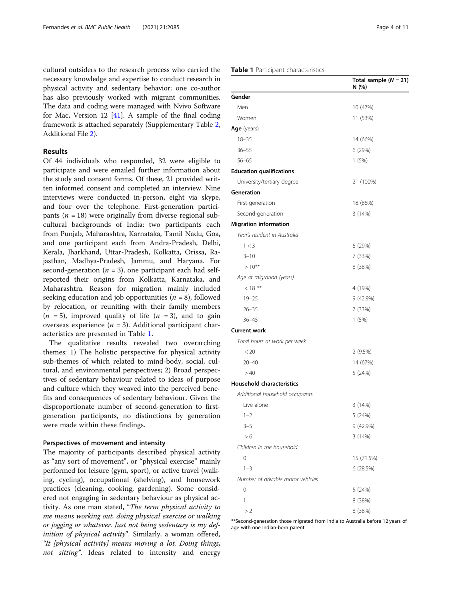cultural outsiders to the research process who carried the necessary knowledge and expertise to conduct research in physical activity and sedentary behavior; one co-author has also previously worked with migrant communities. The data and coding were managed with Nvivo Software for Mac, Version 12  $[41]$  $[41]$ . A sample of the final coding framework is attached separately (Supplementary Table [2](#page-8-0), Additional File [2](#page-8-0)).

# Results

Of 44 individuals who responded, 32 were eligible to participate and were emailed further information about the study and consent forms. Of these, 21 provided written informed consent and completed an interview. Nine interviews were conducted in-person, eight via skype, and four over the telephone. First-generation participants ( $n = 18$ ) were originally from diverse regional subcultural backgrounds of India: two participants each from Punjab, Maharashtra, Karnataka, Tamil Nadu, Goa, and one participant each from Andra-Pradesh, Delhi, Kerala, Jharkhand, Uttar-Pradesh, Kolkatta, Orissa, Rajasthan, Madhya-Pradesh, Jammu, and Haryana. For second-generation ( $n = 3$ ), one participant each had selfreported their origins from Kolkatta, Karnataka, and Maharashtra. Reason for migration mainly included seeking education and job opportunities ( $n = 8$ ), followed by relocation, or reuniting with their family members  $(n = 5)$ , improved quality of life  $(n = 3)$ , and to gain overseas experience  $(n = 3)$ . Additional participant characteristics are presented in Table 1.

The qualitative results revealed two overarching themes: 1) The holistic perspective for physical activity sub-themes of which related to mind-body, social, cultural, and environmental perspectives; 2) Broad perspectives of sedentary behaviour related to ideas of purpose and culture which they weaved into the perceived benefits and consequences of sedentary behaviour. Given the disproportionate number of second-generation to firstgeneration participants, no distinctions by generation were made within these findings.

#### Perspectives of movement and intensity

The majority of participants described physical activity as "any sort of movement", or "physical exercise" mainly performed for leisure (gym, sport), or active travel (walking, cycling), occupational (shelving), and housework practices (cleaning, cooking, gardening). Some considered not engaging in sedentary behaviour as physical activity. As one man stated, "The term physical activity to me means working out, doing physical exercise or walking or jogging or whatever. Just not being sedentary is my definition of physical activity". Similarly, a woman offered, "It [physical activity] means moving a lot. Doing things, not sitting". Ideas related to intensity and energy

# Table 1 Participant characteristics

|                                   | Total sample $(N = 21)$<br>N (%) |
|-----------------------------------|----------------------------------|
| Gender                            |                                  |
| Men                               | 10 (47%)                         |
| Women                             | 11 (53%)                         |
| Age (years)                       |                                  |
| $18 - 35$                         | 14 (66%)                         |
| $36 - 55$                         | 6 (29%)                          |
| $56 - 65$                         | 1(5%)                            |
| <b>Education qualifications</b>   |                                  |
| University/tertiary degree        | 21 (100%)                        |
| Generation                        |                                  |
| First-generation                  | 18 (86%)                         |
| Second-generation                 | 3(14%)                           |
| <b>Migration information</b>      |                                  |
| Year's resident in Australia      |                                  |
| 1 < 3                             | 6 (29%)                          |
| $3 - 10$                          | 7 (33%)                          |
| $>10***$                          | 8 (38%)                          |
| Age at migration (years)          |                                  |
| $< 18***$                         | 4 (19%)                          |
| $19 - 25$                         | 9 (42.9%)                        |
| $26 - 35$                         | 7 (33%)                          |
| $36 - 45$                         | 1(5%)                            |
| <b>Current work</b>               |                                  |
| Total hours at work per week      |                                  |
| < 20                              | 2(9.5%)                          |
| $20 - 40$                         | 14 (67%)                         |
| >40                               | 5 (24%)                          |
| <b>Household characteristics</b>  |                                  |
| Additional household occupants    |                                  |
| Live alone                        | 3(14%)                           |
| $1 - 2$                           | 5 (24%)                          |
| $3 - 5$                           | 9 (42.9%)                        |
| > 6                               | 3 (14%)                          |
| Children in the household         |                                  |
| 0                                 | 15 (71.5%)                       |
| $1 - 3$                           | 6 (28.5%)                        |
| Number of drivable motor vehicles |                                  |
| 0                                 | 5 (24%)                          |
| 1                                 | 8 (38%)                          |
| >2                                | 8 (38%)                          |

\*\*Second-generation those migrated from India to Australia before 12 years of age with one Indian-born parent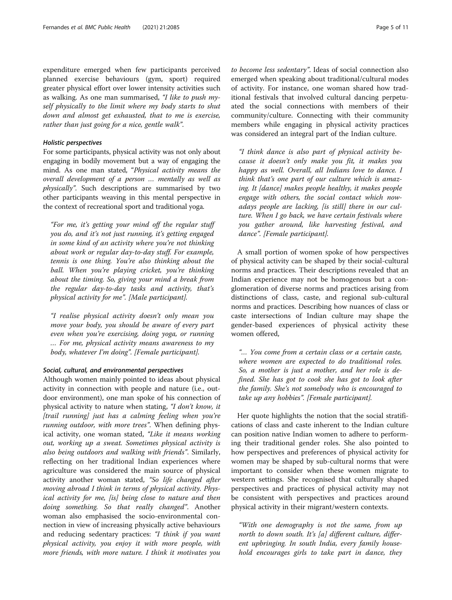expenditure emerged when few participants perceived planned exercise behaviours (gym, sport) required greater physical effort over lower intensity activities such as walking. As one man summarised, "I like to push myself physically to the limit where my body starts to shut down and almost get exhausted, that to me is exercise, rather than just going for a nice, gentle walk".

# Holistic perspectives

For some participants, physical activity was not only about engaging in bodily movement but a way of engaging the mind. As one man stated, "Physical activity means the overall development of a person … mentally as well as physically". Such descriptions are summarised by two other participants weaving in this mental perspective in the context of recreational sport and traditional yoga.

"For me, it's getting your mind off the regular stuff you do, and it's not just running, it's getting engaged in some kind of an activity where you're not thinking about work or regular day-to-day stuff. For example, tennis is one thing. You're also thinking about the ball. When you're playing cricket, you're thinking about the timing. So, giving your mind a break from the regular day-to-day tasks and activity, that's physical activity for me". [Male participant].

"I realise physical activity doesn't only mean you move your body, you should be aware of every part even when you're exercising, doing yoga, or running … For me, physical activity means awareness to my body, whatever I'm doing". [Female participant].

#### Social, cultural, and environmental perspectives

Although women mainly pointed to ideas about physical activity in connection with people and nature (i.e., outdoor environment), one man spoke of his connection of physical activity to nature when stating, "I don't know, it [trail running] just has a calming feeling when you're running outdoor, with more trees". When defining physical activity, one woman stated, "Like it means working out, working up a sweat. Sometimes physical activity is also being outdoors and walking with friends". Similarly, reflecting on her traditional Indian experiences where agriculture was considered the main source of physical activity another woman stated, "So life changed after moving abroad I think in terms of physical activity. Physical activity for me, [is] being close to nature and then doing something. So that really changed". Another woman also emphasised the socio-environmental connection in view of increasing physically active behaviours and reducing sedentary practices: "I think if you want physical activity, you enjoy it with more people, with more friends, with more nature. I think it motivates you

to become less sedentary". Ideas of social connection also emerged when speaking about traditional/cultural modes of activity. For instance, one woman shared how traditional festivals that involved cultural dancing perpetuated the social connections with members of their community/culture. Connecting with their community members while engaging in physical activity practices was considered an integral part of the Indian culture.

"I think dance is also part of physical activity because it doesn't only make you fit, it makes you happy as well. Overall, all Indians love to dance. I think that's one part of our culture which is amazing. It [dance] makes people healthy, it makes people engage with others, the social contact which nowadays people are lacking, [is still] there in our culture. When I go back, we have certain festivals where you gather around, like harvesting festival, and dance". [Female participant].

A small portion of women spoke of how perspectives of physical activity can be shaped by their social-cultural norms and practices. Their descriptions revealed that an Indian experience may not be homogenous but a conglomeration of diverse norms and practices arising from distinctions of class, caste, and regional sub-cultural norms and practices. Describing how nuances of class or caste intersections of Indian culture may shape the gender-based experiences of physical activity these women offered,

"… You come from a certain class or a certain caste, where women are expected to do traditional roles. So, a mother is just a mother, and her role is defined. She has got to cook she has got to look after the family. She's not somebody who is encouraged to take up any hobbies". [Female participant].

Her quote highlights the notion that the social stratifications of class and caste inherent to the Indian culture can position native Indian women to adhere to performing their traditional gender roles. She also pointed to how perspectives and preferences of physical activity for women may be shaped by sub-cultural norms that were important to consider when these women migrate to western settings. She recognised that culturally shaped perspectives and practices of physical activity may not be consistent with perspectives and practices around physical activity in their migrant/western contexts.

"With one demography is not the same, from up north to down south. It's [a] different culture, different upbringing. In south India, every family household encourages girls to take part in dance, they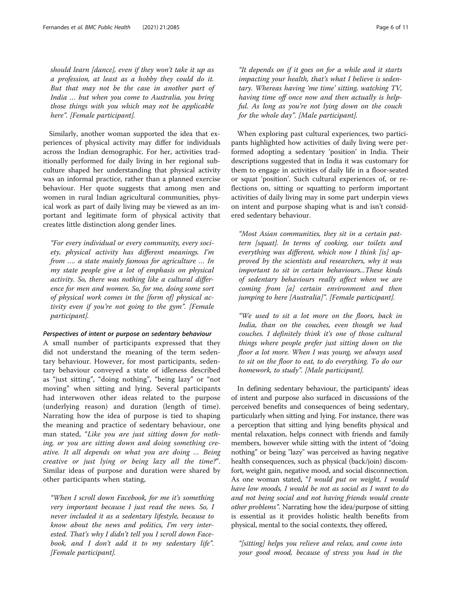should learn [dance], even if they won't take it up as a profession, at least as a hobby they could do it. But that may not be the case in another part of India … but when you come to Australia, you bring those things with you which may not be applicable here". [Female participant].

Similarly, another woman supported the idea that experiences of physical activity may differ for individuals across the Indian demographic. For her, activities traditionally performed for daily living in her regional subculture shaped her understanding that physical activity was an informal practice, rather than a planned exercise behaviour. Her quote suggests that among men and women in rural Indian agricultural communities, physical work as part of daily living may be viewed as an important and legitimate form of physical activity that creates little distinction along gender lines.

"For every individual or every community, every society, physical activity has different meanings. I'm from …. a state mainly famous for agriculture … In my state people give a lot of emphasis on physical activity. So, there was nothing like a cultural difference for men and women. So, for me, doing some sort of physical work comes in the [form of] physical activity even if you're not going to the gym". [Female participant].

#### Perspectives of intent or purpose on sedentary behaviour

A small number of participants expressed that they did not understand the meaning of the term sedentary behaviour. However, for most participants, sedentary behaviour conveyed a state of idleness described as "just sitting", "doing nothing", "being lazy" or "not moving" when sitting and lying. Several participants had interwoven other ideas related to the purpose (underlying reason) and duration (length of time). Narrating how the idea of purpose is tied to shaping the meaning and practice of sedentary behaviour, one man stated, "Like you are just sitting down for nothing, or you are sitting down and doing something creative. It all depends on what you are doing … Being creative or just lying or being lazy all the time?". Similar ideas of purpose and duration were shared by other participants when stating,

"When I scroll down Facebook, for me it's something very important because I just read the news. So, I never included it as a sedentary lifestyle, because to know about the news and politics, I'm very interested. That's why I didn't tell you I scroll down Facebook, and I don't add it to my sedentary life". [Female participant].

"It depends on if it goes on for a while and it starts impacting your health, that's what I believe is sedentary. Whereas having 'me time' sitting, watching TV, having time off once now and then actually is helpful. As long as you're not lying down on the couch for the whole day". [Male participant].

When exploring past cultural experiences, two participants highlighted how activities of daily living were performed adopting a sedentary 'position' in India. Their descriptions suggested that in India it was customary for them to engage in activities of daily life in a floor-seated or squat 'position'. Such cultural experiences of, or reflections on, sitting or squatting to perform important activities of daily living may in some part underpin views on intent and purpose shaping what is and isn't considered sedentary behaviour.

"Most Asian communities, they sit in a certain pattern [squat]. In terms of cooking, our toilets and everything was different, which now I think [is] approved by the scientists and researchers, why it was important to sit in certain behaviours...These kinds of sedentary behaviours really affect when we are coming from [a] certain environment and then jumping to here [Australia]". [Female participant].

"We used to sit a lot more on the floors, back in India, than on the couches, even though we had couches. I definitely think it's one of those cultural things where people prefer just sitting down on the floor a lot more. When I was young, we always used to sit on the floor to eat, to do everything. To do our homework, to study". [Male participant].

In defining sedentary behaviour, the participants' ideas of intent and purpose also surfaced in discussions of the perceived benefits and consequences of being sedentary, particularly when sitting and lying. For instance, there was a perception that sitting and lying benefits physical and mental relaxation, helps connect with friends and family members, however while sitting with the intent of "doing nothing" or being "lazy" was perceived as having negative health consequences, such as physical (back/join) discomfort, weight gain, negative mood, and social disconnection. As one woman stated, "I would put on weight, I would have low moods, I would be not as social as I want to do and not being social and not having friends would create other problems". Narrating how the idea/purpose of sitting is essential as it provides holistic health benefits from physical, mental to the social contexts, they offered,

"[sitting] helps you relieve and relax, and come into your good mood, because of stress you had in the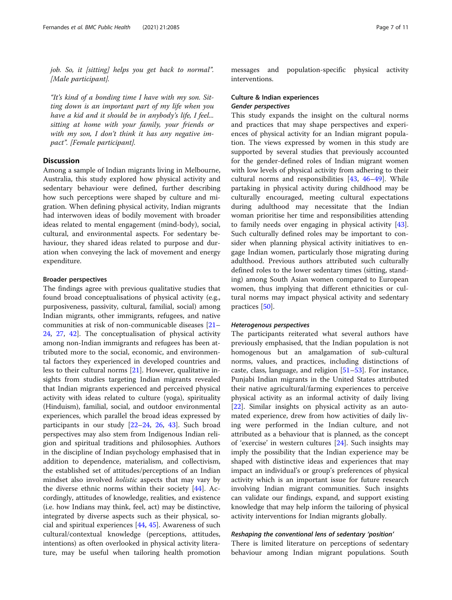job. So, it [sitting] helps you get back to normal". [Male participant].

"It's kind of a bonding time I have with my son. Sitting down is an important part of my life when you have a kid and it should be in anybody's life, I feel... sitting at home with your family, your friends or with my son, I don't think it has any negative impact". [Female participant].

# **Discussion**

Among a sample of Indian migrants living in Melbourne, Australia, this study explored how physical activity and sedentary behaviour were defined, further describing how such perceptions were shaped by culture and migration. When defining physical activity, Indian migrants had interwoven ideas of bodily movement with broader ideas related to mental engagement (mind-body), social, cultural, and environmental aspects. For sedentary behaviour, they shared ideas related to purpose and duration when conveying the lack of movement and energy expenditure.

#### Broader perspectives

The findings agree with previous qualitative studies that found broad conceptualisations of physical activity (e.g., purposiveness, passivity, cultural, familial, social) among Indian migrants, other immigrants, refugees, and native communities at risk of non-communicable diseases [[21](#page-9-0)– [24,](#page-9-0) [27,](#page-9-0) [42](#page-9-0)]. The conceptualisation of physical activity among non-Indian immigrants and refugees has been attributed more to the social, economic, and environmental factors they experienced in developed countries and less to their cultural norms [\[21\]](#page-9-0). However, qualitative insights from studies targeting Indian migrants revealed that Indian migrants experienced and perceived physical activity with ideas related to culture (yoga), spirituality (Hinduism), familial, social, and outdoor environmental experiences, which parallel the broad ideas expressed by participants in our study [[22](#page-9-0)–[24,](#page-9-0) [26,](#page-9-0) [43\]](#page-9-0). Such broad perspectives may also stem from Indigenous Indian religion and spiritual traditions and philosophies. Authors in the discipline of Indian psychology emphasised that in addition to dependence, materialism, and collectivism, the established set of attitudes/perceptions of an Indian mindset also involved holistic aspects that may vary by the diverse ethnic norms within their society  $[44]$ . Accordingly, attitudes of knowledge, realities, and existence (i.e. how Indians may think, feel, act) may be distinctive, integrated by diverse aspects such as their physical, social and spiritual experiences [\[44](#page-9-0), [45\]](#page-9-0). Awareness of such cultural/contextual knowledge (perceptions, attitudes, intentions) as often overlooked in physical activity literature, may be useful when tailoring health promotion

messages and population-specific physical activity interventions.

# Culture & Indian experiences Gender perspectives

This study expands the insight on the cultural norms and practices that may shape perspectives and experiences of physical activity for an Indian migrant population. The views expressed by women in this study are supported by several studies that previously accounted for the gender-defined roles of Indian migrant women with low levels of physical activity from adhering to their cultural norms and responsibilities [\[43,](#page-9-0) [46](#page-9-0)–[49\]](#page-9-0). While partaking in physical activity during childhood may be culturally encouraged, meeting cultural expectations during adulthood may necessitate that the Indian woman prioritise her time and responsibilities attending to family needs over engaging in physical activity [\[43](#page-9-0)]. Such culturally defined roles may be important to consider when planning physical activity initiatives to engage Indian women, particularly those migrating during adulthood. Previous authors attributed such culturally defined roles to the lower sedentary times (sitting, standing) among South Asian women compared to European women, thus implying that different ethnicities or cultural norms may impact physical activity and sedentary practices [[50\]](#page-9-0).

#### Heterogenous perspectives

The participants reiterated what several authors have previously emphasised, that the Indian population is not homogenous but an amalgamation of sub-cultural norms, values, and practices, including distinctions of caste, class, language, and religion [[51](#page-9-0)–[53](#page-9-0)]. For instance, Punjabi Indian migrants in the United States attributed their native agricultural/farming experiences to perceive physical activity as an informal activity of daily living [[22\]](#page-9-0). Similar insights on physical activity as an automated experience, drew from how activities of daily living were performed in the Indian culture, and not attributed as a behaviour that is planned, as the concept of 'exercise' in western cultures [[24](#page-9-0)]. Such insights may imply the possibility that the Indian experience may be shaped with distinctive ideas and experiences that may impact an individual's or group's preferences of physical activity which is an important issue for future research involving Indian migrant communities. Such insights can validate our findings, expand, and support existing knowledge that may help inform the tailoring of physical activity interventions for Indian migrants globally.

#### Reshaping the conventional lens of sedentary 'position'

There is limited literature on perceptions of sedentary behaviour among Indian migrant populations. South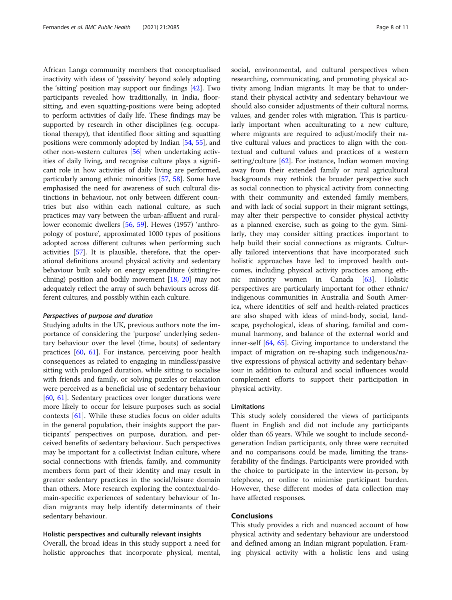African Langa community members that conceptualised inactivity with ideas of 'passivity' beyond solely adopting the 'sitting' position may support our findings [[42\]](#page-9-0). Two participants revealed how traditionally, in India, floorsitting, and even squatting-positions were being adopted to perform activities of daily life. These findings may be supported by research in other disciplines (e.g. occupational therapy), that identified floor sitting and squatting positions were commonly adopted by Indian [\[54,](#page-9-0) [55](#page-9-0)], and other non-western cultures [[56](#page-9-0)] when undertaking activities of daily living, and recognise culture plays a significant role in how activities of daily living are performed, particularly among ethnic minorities [\[57](#page-9-0), [58](#page-9-0)]. Some have emphasised the need for awareness of such cultural distinctions in behaviour, not only between different countries but also within each national culture, as such practices may vary between the urban-affluent and rurallower economic dwellers [[56,](#page-9-0) [59](#page-9-0)]. Hewes (1957) 'anthropology of posture', approximated 1000 types of positions adopted across different cultures when performing such activities [[57](#page-9-0)]. It is plausible, therefore, that the operational definitions around physical activity and sedentary behaviour built solely on energy expenditure (sitting/reclining) position and bodily movement [[18,](#page-9-0) [20](#page-9-0)] may not adequately reflect the array of such behaviours across different cultures, and possibly within each culture.

#### Perspectives of purpose and duration

Studying adults in the UK, previous authors note the importance of considering the 'purpose' underlying sedentary behaviour over the level (time, bouts) of sedentary practices [\[60](#page-9-0), [61\]](#page-9-0). For instance, perceiving poor health consequences as related to engaging in mindless/passive sitting with prolonged duration, while sitting to socialise with friends and family, or solving puzzles or relaxation were perceived as a beneficial use of sedentary behaviour [[60,](#page-9-0) [61](#page-9-0)]. Sedentary practices over longer durations were more likely to occur for leisure purposes such as social contexts [[61\]](#page-9-0). While these studies focus on older adults in the general population, their insights support the participants' perspectives on purpose, duration, and perceived benefits of sedentary behaviour. Such perspectives may be important for a collectivist Indian culture, where social connections with friends, family, and community members form part of their identity and may result in greater sedentary practices in the social/leisure domain than others. More research exploring the contextual/domain-specific experiences of sedentary behaviour of Indian migrants may help identify determinants of their sedentary behaviour.

# Holistic perspectives and culturally relevant insights

Overall, the broad ideas in this study support a need for holistic approaches that incorporate physical, mental, social, environmental, and cultural perspectives when researching, communicating, and promoting physical activity among Indian migrants. It may be that to understand their physical activity and sedentary behaviour we should also consider adjustments of their cultural norms, values, and gender roles with migration. This is particularly important when acculturating to a new culture, where migrants are required to adjust/modify their native cultural values and practices to align with the contextual and cultural values and practices of a western setting/culture [[62\]](#page-10-0). For instance, Indian women moving away from their extended family or rural agricultural backgrounds may rethink the broader perspective such as social connection to physical activity from connecting with their community and extended family members, and with lack of social support in their migrant settings, may alter their perspective to consider physical activity as a planned exercise, such as going to the gym. Similarly, they may consider sitting practices important to help build their social connections as migrants. Culturally tailored interventions that have incorporated such holistic approaches have led to improved health outcomes, including physical activity practices among ethnic minority women in Canada [\[63](#page-10-0)]. Holistic perspectives are particularly important for other ethnic/ indigenous communities in Australia and South America, where identities of self and health-related practices are also shaped with ideas of mind-body, social, landscape, psychological, ideas of sharing, familial and communal harmony, and balance of the external world and inner-self [\[64,](#page-10-0) [65](#page-10-0)]. Giving importance to understand the impact of migration on re-shaping such indigenous/native expressions of physical activity and sedentary behaviour in addition to cultural and social influences would complement efforts to support their participation in physical activity.

#### Limitations

This study solely considered the views of participants fluent in English and did not include any participants older than 65 years. While we sought to include secondgeneration Indian participants, only three were recruited and no comparisons could be made, limiting the transferability of the findings. Participants were provided with the choice to participate in the interview in-person, by telephone, or online to minimise participant burden. However, these different modes of data collection may have affected responses.

# Conclusions

This study provides a rich and nuanced account of how physical activity and sedentary behaviour are understood and defined among an Indian migrant population. Framing physical activity with a holistic lens and using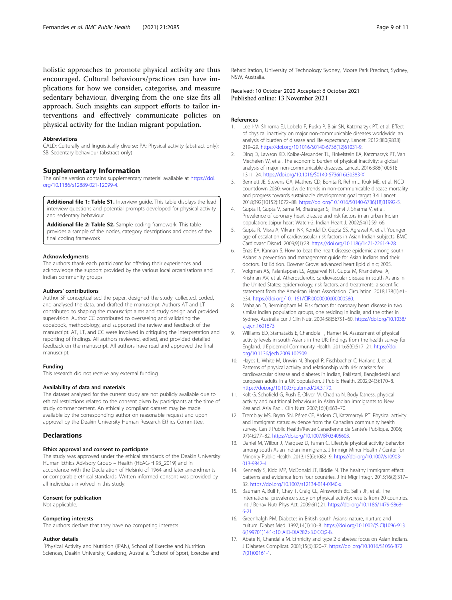<span id="page-8-0"></span>holistic approaches to promote physical activity are thus encouraged. Cultural behaviours/practices can have implications for how we consider, categorise, and measure sedentary behaviour, diverging from the one size fits all approach. Such insights can support efforts to tailor interventions and effectively communicate policies on physical activity for the Indian migrant population.

#### Abbreviations

CALD: Culturally and linguistically diverse; PA: Physical activity (abstract only); SB: Sedentary behaviour (abstract only)

# Supplementary Information

The online version contains supplementary material available at [https://doi.](https://doi.org/10.1186/s12889-021-12099-4) [org/10.1186/s12889-021-12099-4.](https://doi.org/10.1186/s12889-021-12099-4)

Additional file 1: Table S1. Interview guide. This table displays the lead interview questions and potential prompts developed for physical activity and sedentary behaviour

Additional file 2: Table S2. Sample coding framework. This table provides a sample of the nodes, category descriptions and codes of the final coding framework

#### Acknowledgments

The authors thank each participant for offering their experiences and acknowledge the support provided by the various local organisations and Indian community groups.

#### Authors' contributions

Author SF conceptualised the paper, designed the study, collected, coded, and analysed the data, and drafted the manuscript. Authors AT and LT contributed to shaping the manuscript aims and study design and provided supervision. Author CC contributed to overseeing and validating the codebook, methodology, and supported the review and feedback of the manuscript. AT, LT, and CC were involved in critiquing the interpretation and reporting of findings. All authors reviewed, edited, and provided detailed feedback on the manuscript. All authors have read and approved the final manuscript.

#### Funding

This research did not receive any external funding.

#### Availability of data and materials

The dataset analysed for the current study are not publicly available due to ethical restrictions related to the consent given by participants at the time of study commencement. An ethically compliant dataset may be made available by the corresponding author on reasonable request and upon approval by the Deakin University Human Research Ethics Committee.

#### **Declarations**

# Ethics approval and consent to participate

The study was approved under the ethical standards of the Deakin University Human Ethics Advisory Group – Health (HEAG-H 93\_2019) and in accordance with the Declaration of Helsinki of 1964 and later amendments or comparable ethical standards. Written informed consent was provided by all individuals involved in this study.

#### Consent for publication

Not applicable.

#### Competing interests

The authors declare that they have no competing interests.

#### Author details

<sup>1</sup> Physical Activity and Nutrition (IPAN), School of Exercise and Nutrition Sciences, Deakin University, Geelong, Australia. <sup>2</sup>School of Sport, Exercise and

Rehabilitation, University of Technology Sydney, Moore Park Precinct, Sydney, NSW, Australia.

Received: 10 October 2020 Accepted: 6 October 2021 Published online: 13 November 2021

# References

- 1. Lee I-M, Shiroma EJ, Lobelo F, Puska P, Blair SN, Katzmarzyk PT, et al. Effect of physical inactivity on major non-communicable diseases worldwide: an analysis of burden of disease and life expectancy. Lancet. 2012;380(9838): 219–29. [https://doi.org/10.1016/S0140-6736\(12\)61031-9.](https://doi.org/10.1016/S0140-6736(12)61031-9)
- 2. Ding D, Lawson KD, Kolbe-Alexander TL, Finkelstein EA, Katzmarzyk PT, Van Mechelen W, et al. The economic burden of physical inactivity: a global analysis of major non-communicable diseases. Lancet. 2016;388(10051): 1311–24. [https://doi.org/10.1016/S0140-6736\(16\)30383-X](https://doi.org/10.1016/S0140-6736(16)30383-X).
- 3. Bennett JE, Stevens GA, Mathers CD, Bonita R, Rehm J, Kruk ME, et al. NCD countdown 2030: worldwide trends in non-communicable disease mortality and progress towards sustainable development goal target 3.4. Lancet. 2018;392(10152):1072–88. [https://doi.org/10.1016/S0140-6736\(18\)31992-5](https://doi.org/10.1016/S0140-6736(18)31992-5).
- 4. Gupta R, Gupta V, Sarna M, Bhatnagar S, Thanvi J, Sharma V, et al. Prevalence of coronary heart disease and risk factors in an urban Indian population: Jaipur heart Watch-2. Indian Heart J. 2002;54(1):59–66.
- 5. Gupta R, Misra A, Vikram NK, Kondal D, Gupta SS, Agrawal A, et al. Younger age of escalation of cardiovascular risk factors in Asian Indian subjects. BMC Cardiovasc Disord. 2009;9(1):28. [https://doi.org/10.1186/1471-2261-9-28.](https://doi.org/10.1186/1471-2261-9-28)
- 6. Enas EA, Kannan S. How to beat the heart disease epidemic among south Asians: a prevention and management guide for Asian Indians and their doctors. 1st Edition. Downer Grove: advanced heart lipid clinic; 2005.
- 7. Volgman AS, Palaniappan LS, Aggarwal NT, Gupta M, Khandelwal A, Krishnan AV, et al. Atherosclerotic cardiovascular disease in south Asians in the United States: epidemiology, risk factors, and treatments: a scientific statement from the American Heart Association. Circulation. 2018;138(1):e1– e34. <https://doi.org/10.1161/CIR.0000000000000580>.
- 8. Mahajan D, Bermingham M. Risk factors for coronary heart disease in two similar Indian population groups, one residing in India, and the other in Sydney. Australia Eur J Clin Nutr. 2004;58(5):751–60. [https://doi.org/10.1038/](https://doi.org/10.1038/sj.ejcn.1601873) [sj.ejcn.1601873.](https://doi.org/10.1038/sj.ejcn.1601873)
- 9. Williams ED, Stamatakis E, Chandola T, Hamer M. Assessment of physical activity levels in south Asians in the UK: findings from the health survey for England. J Epidemiol Community Health. 2011;65(6):517–21. [https://doi.](https://doi.org/10.1136/jech.2009.102509) [org/10.1136/jech.2009.102509](https://doi.org/10.1136/jech.2009.102509).
- 10. Hayes L, White M, Unwin N, Bhopal R, Fischbacher C, Harland J, et al. Patterns of physical activity and relationship with risk markers for cardiovascular disease and diabetes in Indian, Pakistani, Bangladeshi and European adults in a UK population. J Public Health. 2002;24(3):170–8. [https://doi.org/10.1093/pubmed/24.3.170.](https://doi.org/10.1093/pubmed/24.3.170)
- 11. Kolt G, Schofield G, Rush E, Oliver M, Chadha N. Body fatness, physical activity and nutritional behaviours in Asian Indian immigrants to New Zealand. Asia Pac J Clin Nutr. 2007;16(4):663–70.
- 12. Tremblay MS, Bryan SN, Pérez CE, Ardern CI, Katzmarzyk PT. Physical activity and immigrant status: evidence from the Canadian community health survey. Can J Public Health/Revue Canadienne de Sante'e Publique. 2006; 97(4):277–82. <https://doi.org/10.1007/BF03405603>.
- 13. Daniel M, Wilbur J, Marquez D, Farran C. Lifestyle physical activity behavior among south Asian Indian immigrants. J Immigr Minor Health / Center for Minority Public Health. 2013;15(6):1082–9. [https://doi.org/10.1007/s10903-](https://doi.org/10.1007/s10903-013-9842-4) [013-9842-4](https://doi.org/10.1007/s10903-013-9842-4).
- 14. Kennedy S, Kidd MP, McDonald JT, Biddle N. The healthy immigrant effect: patterns and evidence from four countries. J Int Migr Integr. 2015;16(2):317– 32. [https://doi.org/10.1007/s12134-014-0340-x.](https://doi.org/10.1007/s12134-014-0340-x)
- 15. Bauman A, Bull F, Chey T, Craig CL, Ainsworth BE, Sallis JF, et al. The international prevalence study on physical activity: results from 20 countries. Int J Behav Nutr Phys Act. 2009;6(1):21. [https://doi.org/10.1186/1479-5868-](https://doi.org/10.1186/1479-5868-6-21) [6-21](https://doi.org/10.1186/1479-5868-6-21).
- 16. Greenhalgh PM. Diabetes in British south Asians: nature, nurture and culture. Diabet Med. 1997;14(1):10–8. [https://doi.org/10.1002/\(SICI\)1096-913](https://doi.org/10.1002/(SICI)1096-9136(199701)14:1<10::AID-DIA282>3.0.CO;2-B) [6\(199701\)14:1<10::AID-DIA282>3.0.CO;2-B](https://doi.org/10.1002/(SICI)1096-9136(199701)14:1<10::AID-DIA282>3.0.CO;2-B).
- 17. Abate N, Chandalia M. Ethnicity and type 2 diabetes: focus on Asian Indians. J Diabetes Complicat. 2001;15(6):320–7. [https://doi.org/10.1016/S1056-872](https://doi.org/10.1016/S1056-8727(01)00161-1) [7\(01\)00161-1](https://doi.org/10.1016/S1056-8727(01)00161-1).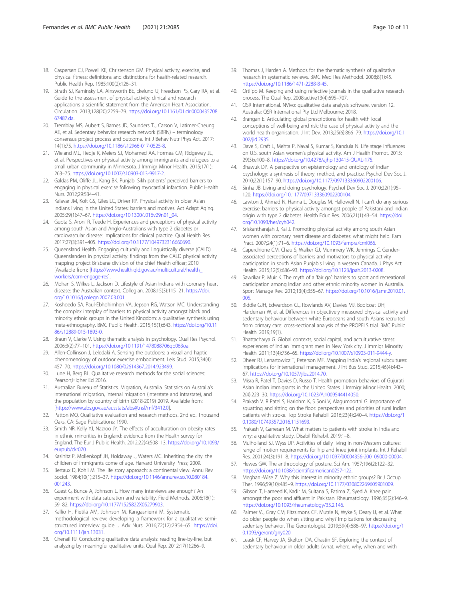- <span id="page-9-0"></span>18. Caspersen CJ, Powell KE, Christenson GM. Physical activity, exercise, and physical fitness: definitions and distinctions for health-related research. Public Health Rep. 1985;100(2):126–31.
- 19. Strath SJ, Kaminsky LA, Ainsworth BE, Ekelund U, Freedson PS, Gary RA, et al. Guide to the assessment of physical activity: clinical and research applications a scientific statement from the American Heart Association. Circulation. 2013;128(20):2259–79. [https://doi.org/10.1161/01.cir.0000435708.](https://doi.org/10.1161/01.cir.0000435708.67487.da) [67487.da](https://doi.org/10.1161/01.cir.0000435708.67487.da).
- 20. Tremblay MS, Aubert S, Barnes JD, Saunders TJ, Carson V, Latimer-Cheung AE, et al. Sedentary behavior research network (SBRN) – terminology consensus project process and outcome. Int J Behav Nutr Phys Act. 2017; 14(1):75. <https://doi.org/10.1186/s12966-017-0525-8>.
- 21. Wieland ML, Tiedje K, Meiers SJ, Mohamed AA, Formea CM, Ridgeway JL, et al. Perspectives on physical activity among immigrants and refugees to a small urban community in Minnesota. J Immigr Minor Health. 2015;17(1): 263–75. <https://doi.org/10.1007/s10903-013-9917-2>.
- 22. Galdas PM, Oliffe JL, Kang BK. Punjabi Sikh patients' perceived barriers to engaging in physical exercise following myocardial infarction. Public Health Nurs. 2012;29:534–41.
- 23. Kalavar JM, Kolt GS, Giles LC, Driver RP. Physical activity in older Asian Indians living in the United States: barriers and motives. Act Adapt Aging. 2005;29(1):47–67. [https://doi.org/10.1300/J016v29n01\\_04](https://doi.org/10.1300/J016v29n01_04).
- 24. Gupta S, Aroni R, Teede H. Experiences and perceptions of physical activity among south Asian and Anglo-Australians with type 2 diabetes or cardiovascular disease: implications for clinical practice. Qual Health Res. 2017;27(3):391–405. [https://doi.org/10.1177/1049732316660690.](https://doi.org/10.1177/1049732316660690)
- 25. Queensland Health. Engaging culturally and linguistically diverse (CALD) Queenslanders in physical activity: findings from the CALD physical activity mapping project Brisbane division of the chief Health officer; 2010 [Available from: [[https://www.health.qld.gov.au/multicultural/health\\_](https://www.health.qld.gov.au/multicultural/health_workers/com-engage-res) [workers/com-engage-res\]](https://www.health.qld.gov.au/multicultural/health_workers/com-engage-res).
- 26. Mohan S, Wilkes L, Jackson D. Lifestyle of Asian Indians with coronary heart disease: the Australian context. Collegian. 2008;15(3):115–21. [https://doi.](https://doi.org/10.1016/j.colegn.2007.03.001) [org/10.1016/j.colegn.2007.03.001](https://doi.org/10.1016/j.colegn.2007.03.001).
- 27. Koshoedo SA, Paul-Ebhohimhen VA, Jepson RG, Watson MC. Understanding the complex interplay of barriers to physical activity amongst black and minority ethnic groups in the United Kingdom: a qualitative synthesis using meta-ethnography. BMC Public Health. 2015;15(1):643. [https://doi.org/10.11](https://doi.org/10.1186/s12889-015-1893-0) [86/s12889-015-1893-0](https://doi.org/10.1186/s12889-015-1893-0).
- 28. Braun V, Clarke V. Using thematic analysis in psychology. Qual Res Psychol. 2006;3(2):77–101. <https://doi.org/10.1191/1478088706qp063oa>.
- 29. Allen-Collinson J, Leledaki A. Sensing the outdoors: a visual and haptic phenomenology of outdoor exercise embodiment. Leis Stud. 2015;34(4): 457–70. [https://doi.org/10.1080/02614367.2014.923499.](https://doi.org/10.1080/02614367.2014.923499)
- 30. Lune H, Berg BL. Qualitative research methods for the social sciences: Pearson;Higher Ed 2016.
- 31. Australian Bureau of Statistics. Migration, Australia. Statistics on Australia's international migration, internal migration (interstate and intrastate), and the population by country of birth (2018-2019) 2019. Available from: [<https://www.abs.gov.au/ausstats/abs@.nsf/mf/3412.0>].
- 32. Patton MQ. Qualitative evaluation and research methods. 2nd ed. Thousand Oaks, CA: Sage Publications; 1990.
- 33. Smith NR, Kelly YJ, Nazroo JY. The effects of acculturation on obesity rates in ethnic minorities in England: evidence from the Health survey for England. The Eur J Public Health. 2012;22(4):508–13. [https://doi.org/10.1093/](https://doi.org/10.1093/eurpub/ckr070) [eurpub/ckr070](https://doi.org/10.1093/eurpub/ckr070).
- 34. Kasinitz P, Mollenkopf JH, Holdaway J, Waters MC. Inheriting the city: the children of immigrants come of age. Harvard University Press; 2009.
- 35. Bertaux D, Kohli M. The life story approach: a continental view. Annu Rev Sociol. 1984;10(1):215–37. [https://doi.org/10.1146/annurev.so.10.080184.](https://doi.org/10.1146/annurev.so.10.080184.001243) [001243](https://doi.org/10.1146/annurev.so.10.080184.001243).
- 36. Guest G, Bunce A, Johnson L. How many interviews are enough? An experiment with data saturation and variability. Field Methods. 2006;18(1): 59–82. <https://doi.org/10.1177/1525822X05279903>.
- 37. Kallio H, Pietilä AM, Johnson M, Kangasniemi M. Systematic methodological review: developing a framework for a qualitative semistructured interview guide. J Adv Nurs. 2016;72(12):2954–65. [https://doi.](https://doi.org/10.1111/jan.13031) [org/10.1111/jan.13031.](https://doi.org/10.1111/jan.13031)
- 38. Chenail RJ. Conducting qualitative data analysis: reading line-by-line, but analyzing by meaningful qualitative units. Qual Rep. 2012;17(1):266–9.
- 39. Thomas J, Harden A. Methods for the thematic synthesis of qualitative research in systematic reviews. BMC Med Res Methodol. 2008;8(1):45. [https://doi.org/10.1186/1471-2288-8-45.](https://doi.org/10.1186/1471-2288-8-45)
- 40. Ortlipp M. Keeping and using reflective journals in the qualitative research process. The Qual Rep. 2008;active13(4):695–707.
- 41. QSR International. NVivo: qualitative data analysis software, version 12. Australia: QSR International Pty Ltd Melbourne; 2018.
- 42. Brangan E. Articulating global prescriptions for health with local conceptions of well-being and risk: the case of physical activity and the world health organisation. J Int Dev. 2013;25(6):866–79. [https://doi.org/10.1](https://doi.org/10.1002/jid.2935) [002/jid.2935](https://doi.org/10.1002/jid.2935).
- 43. Dave S, Craft L, Mehta P, Naval S, Kumar S, Kandula N. Life stage influences on U.S. south Asian women's physical activity. Am J Health Promot. 2015; 29(3):e100–8. [https://doi.org/10.4278/ajhp.130415-QUAL-175.](https://doi.org/10.4278/ajhp.130415-QUAL-175)
- 44. Bhawuk DP. A perspective on epistemology and ontology of Indian psychology: a synthesis of theory, method, and practice. Psychol Dev Soc J. 2010;22(1):157–90. <https://doi.org/10.1177/097133360902200106>.
- 45. Sinha JB. Living and doing psychology. Psychol Dev Soc J. 2010;22(1):95– 120. [https://doi.org/10.1177/097133360902200104.](https://doi.org/10.1177/097133360902200104)
- 46. Lawton J, Ahmad N, Hanna L, Douglas M, Hallowell N. I can't do any serious exercise: barriers to physical activity amongst people of Pakistani and Indian origin with type 2 diabetes. Health Educ Res. 2006;21(1):43–54. [https://doi.](https://doi.org/10.1093/her/cyh042) [org/10.1093/her/cyh042.](https://doi.org/10.1093/her/cyh042)
- 47. Sriskantharajah J, Kai J. Promoting physical activity among south Asian women with coronary heart disease and diabetes: what might help. Fam Pract. 2007;24(1):71–6. <https://doi.org/10.1093/fampra/cml066>.
- 48. Caperchione CM, Chau S, Walker GJ, Mummery WK, Jennings C. Genderassociated perceptions of barriers and motivators to physical activity participation in south Asian Punjabis living in western Canada. J Phys Act Health. 2015;12(5):686–93. [https://doi.org/10.1123/jpah.2013-0208.](https://doi.org/10.1123/jpah.2013-0208)
- 49. Sawrikar P, Muir K. The myth of a 'fair go': barriers to sport and recreational participation among Indian and other ethnic minority women in Australia. Sport Manage Rev. 2010;13(4):355–67. [https://doi.org/10.1016/j.smr.2010.01.](https://doi.org/10.1016/j.smr.2010.01.005) [005.](https://doi.org/10.1016/j.smr.2010.01.005)
- 50. Biddle GJH, Edwardson CL, Rowlands AV, Davies MJ, Bodicoat DH, Hardeman W, et al. Differences in objectively measured physical activity and sedentary behaviour between white Europeans and south Asians recruited from primary care: cross-sectional analysis of the PROPELS trial. BMC Public Health. 2019;19(1).
- 51. Bhattacharya G. Global contexts, social capital, and acculturative stress: experiences of Indian immigrant men in New York city. J Immigr Minority Health. 2011;13(4):756–65. [https://doi.org/10.1007/s10903-011-9444-y.](https://doi.org/10.1007/s10903-011-9444-y)
- 52. Dheer RJ, Lenartowicz T, Peterson MF. Mapping India's regional subcultures: implications for international management. J Int Bus Stud. 2015;46(4):443– 67. <https://doi.org/10.1057/jibs.2014.70>.
- 53. Misra R, Patel T, Davies D, Russo T. Health promotion behaviors of Gujurati Asian Indian immigrants in the United States. J Immigr Minor Health. 2000; 2(4):223–30. <https://doi.org/10.1023/A:1009544414050>.
- 54. Prakash V. R Patel S, Hariohm K, S Soni V, Alagumoorthi G. importance of squatting and sitting on the floor: perspectives and priorities of rural Indian patients with stroke. Top Stroke Rehabil. 2016;23(4):240–4. [https://doi.org/1](https://doi.org/10.1080/10749357.2016.1151693) [0.1080/10749357.2016.1151693.](https://doi.org/10.1080/10749357.2016.1151693)
- 55. Prakash V, Ganesan M. What matters to patients with stroke in India and why: a qualitative study. Disabil Rehabil. 2019:1–8.
- 56. Mulholland SJ, Wyss UP. Activities of daily living in non-Western cultures: range of motion requirements for hip and knee joint implants. Int J Rehabil Res. 2001;24(3):191–8. [https://doi.org/10.1097/00004356-200109000-00004.](https://doi.org/10.1097/00004356-200109000-00004)
- 57. Hewes GW. The anthropology of posture. Sci Am. 1957;196(2):122–32. <https://doi.org/10.1038/scientificamerican0257-122>.
- 58. Meghani-Wise Z. Why this interest in minority ethnic groups? Br J Occup Ther. 1996;59(10):485–9. <https://doi.org/10.1177/030802269605901009>.
- Gibson T, Hameed K, Kadir M, Sultana S, Fatima Z, Syed A. Knee pain amongst the poor and affluent in Pakistan. Rheumatology. 1996;35(2):146–9. <https://doi.org/10.1093/rheumatology/35.2.146>.
- 60. Palmer VJ, Gray CM, Fitzsimons CF, Mutrie N, Wyke S, Deary IJ, et al. What do older people do when sitting and why? Implications for decreasing sedentary behavior. The Gerontologist. 2019;59(4):686–97. [https://doi.org/1](https://doi.org/10.1093/geront/gny020) [0.1093/geront/gny020.](https://doi.org/10.1093/geront/gny020)
- 61. Leask CF, Harvey JA, Skelton DA, Chastin SF. Exploring the context of sedentary behaviour in older adults (what, where, why, when and with